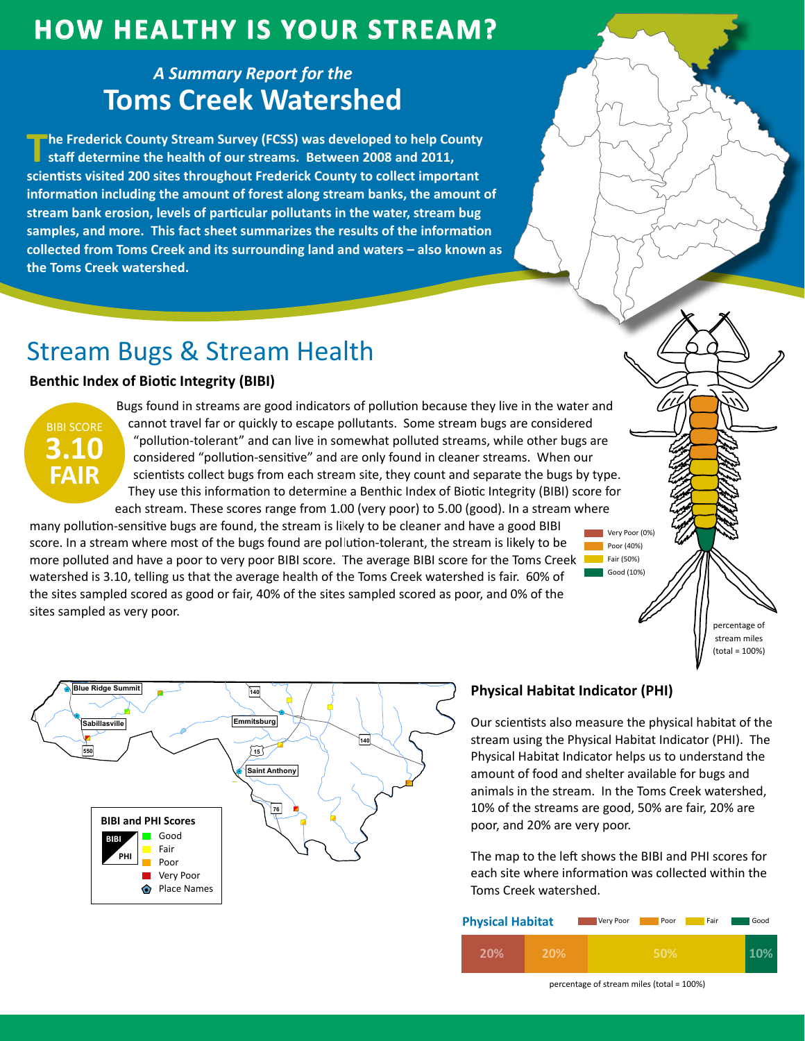# **How HealtHy is Your Stream?**

### *A Summary Report for the* **Toms Creek Watershed**

**The Frederick County Stream Survey (FCSS) was developed to help County staff determine the health of our streams. Between 2008 and 2011, scientists visited 200 sites throughout Frederick County to collect important information including the amount of forest along stream banks, the amount of stream bank erosion, levels of particular pollutants in the water, stream bug samples, and more. This fact sheet summarizes the results of the information collected from Toms Creek and its surrounding land and waters – also known as the Toms Creek watershed.**

# Stream Bugs & Stream Health

#### **Benthic Index of Biotic Integrity (BIBI)**



Bugs found in streams are good indicators of pollution because they live in the water and cannot travel far or quickly to escape pollutants. Some stream bugs are considered "pollution-tolerant" and can live in somewhat polluted streams, while other bugs are considered "pollution-sensitive" and are only found in cleaner streams. When our scientists collect bugs from each stream site, they count and separate the bugs by type. They use this information to determine a Benthic Index of Biotic Integrity (BIBI) score for each stream. These scores range from 1.00 (very poor) to 5.00 (good). In a stream where

many pollution-sensitive bugs are found, the stream is likely to be cleaner and have a good BIBI score. In a stream where most of the bugs found are pollution-tolerant, the stream is likely to be more polluted and have a poor to very poor BIBI score. The average BIBI score for the Toms Creek **The Fair (50%)** watershed is 3.10, telling us that the average health of the Toms Creek watershed is fair. 60% of the sites sampled scored as good or fair, 40% of the sites sampled scored as poor, and 0% of the sites sampled as very poor.





Our scientists also measure the physical habitat of the stream using the Physical Habitat Indicator (PHI). The Physical Habitat Indicator helps us to understand the amount of food and shelter available for bugs and animals in the stream. In the Toms Creek watershed, 10% of the streams are good, 50% are fair, 20% are poor, and 20% are very poor.

Very Poor (0%) **Poor (40%)** 

Good (10%)

The map to the left shows the BIBI and PHI scores for each site where information was collected within the Toms Creek watershed.

| <b>Physical Habitat</b> |     | Very Poor | Poor | Fair | Good |
|-------------------------|-----|-----------|------|------|------|
| 20%                     | 20% |           | 50%  |      |      |

percentage of stream miles (total = 100%)